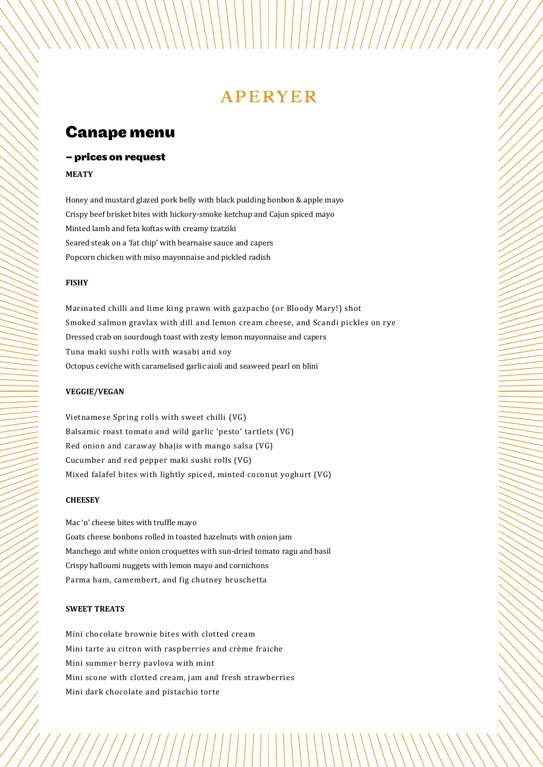# **APERYER**

## **Canape menu**

## - prices on request

### **MEATY**

Honey and mustard glazed pork belly with black pudding bonbon & apple mayo Crispy beef brisket bites with hickory-smoke ketchup and Cajun spiced mayo Minted lamb and feta koftas with creamy tzatziki Seared steak on a 'fat chip' with bearnaise sauce and capers Popcorn chicken with miso mayonnaise and pickled radish

## **FISHY**

Marinated chilli and lime king prawn with gazpacho (or Bloody Mary!) shot Smoked salmon gravlax with dill and lemon cream cheese, and Scandi pickles on rye Dressed crab on sourdough toast with zesty lemon mayonnaise and capers Tuna maki sushi rolls with wasabi and soy Octopus ceviche with caramelised garlic aioli and seaweed pearl on blini

#### **VEGGIE/VEGAN**

Vietnamese Spring rolls with sweet chilli (VG) Balsamic roast tomato and wild garlic 'pesto' tartlets (VG) Red onion and caraway bhajis with mango salsa (VG) Cucumber and red pepper maki sushi rolls (VG) Mixed falafel bites with lightly spiced, minted coconut yoghurt (VG)

## **CHEESEY**

Mac 'n' cheese bites with truffle mayo Goats cheese bonbons rolled in toasted hazelnuts with onion jam Manchego and white onion croquettes with sun-dried tomato ragu and basil Crispy halloumi nuggets with lemon mayo and cornichons Parma ham, camembert, and fig chutney bruschetta

## **SWEET TREATS**

Mini chocolate brownie bites with clotted cream Mini tarte au citron with raspberries and crème fraiche Mini summer berry pavlova with mint Mini scone with clotted cream, jam and fresh strawberries Mini dark chocolate and pistachio torte